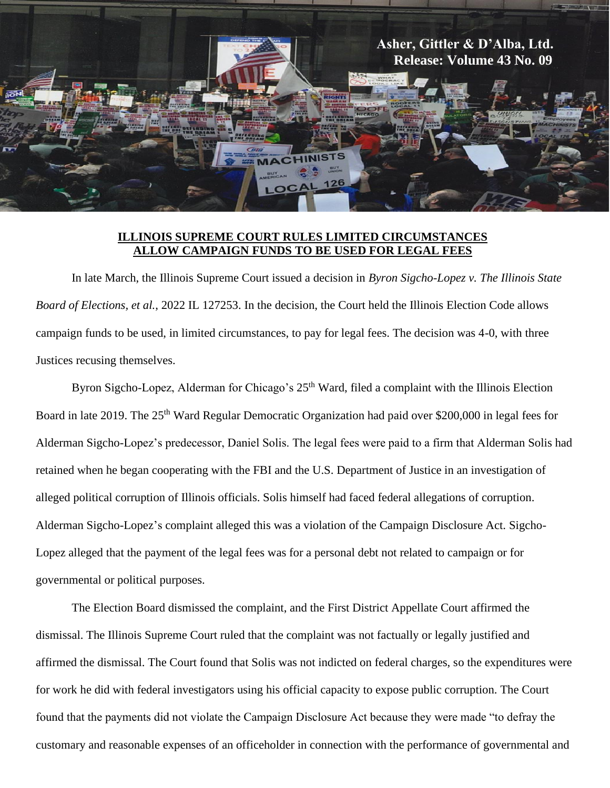

## **ILLINOIS SUPREME COURT RULES LIMITED CIRCUMSTANCES ALLOW CAMPAIGN FUNDS TO BE USED FOR LEGAL FEES**

In late March, the Illinois Supreme Court issued a decision in *Byron Sigcho-Lopez v. The Illinois State Board of Elections, et al.*, 2022 IL 127253. In the decision, the Court held the Illinois Election Code allows campaign funds to be used, in limited circumstances, to pay for legal fees. The decision was 4-0, with three Justices recusing themselves.

Byron Sigcho-Lopez, Alderman for Chicago's 25<sup>th</sup> Ward, filed a complaint with the Illinois Election Board in late 2019. The 25<sup>th</sup> Ward Regular Democratic Organization had paid over \$200,000 in legal fees for Alderman Sigcho-Lopez's predecessor, Daniel Solis. The legal fees were paid to a firm that Alderman Solis had retained when he began cooperating with the FBI and the U.S. Department of Justice in an investigation of alleged political corruption of Illinois officials. Solis himself had faced federal allegations of corruption. Alderman Sigcho-Lopez's complaint alleged this was a violation of the Campaign Disclosure Act. Sigcho-Lopez alleged that the payment of the legal fees was for a personal debt not related to campaign or for governmental or political purposes.

The Election Board dismissed the complaint, and the First District Appellate Court affirmed the dismissal. The Illinois Supreme Court ruled that the complaint was not factually or legally justified and affirmed the dismissal. The Court found that Solis was not indicted on federal charges, so the expenditures were for work he did with federal investigators using his official capacity to expose public corruption. The Court found that the payments did not violate the Campaign Disclosure Act because they were made "to defray the customary and reasonable expenses of an officeholder in connection with the performance of governmental and